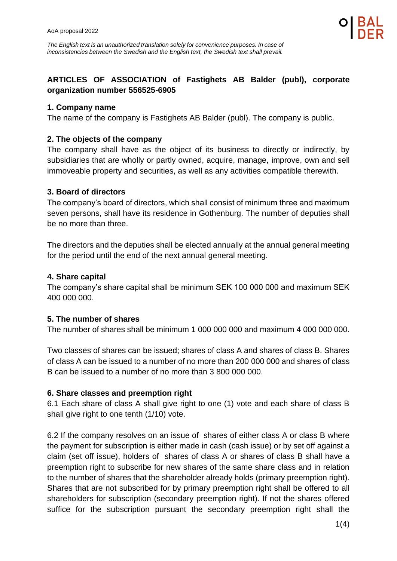# **ARTICLES OF ASSOCIATION of Fastighets AB Balder (publ), corporate organization number 556525-6905**

## **1. Company name**

The name of the company is Fastighets AB Balder (publ). The company is public.

## **2. The objects of the company**

The company shall have as the object of its business to directly or indirectly, by subsidiaries that are wholly or partly owned, acquire, manage, improve, own and sell immoveable property and securities, as well as any activities compatible therewith.

## **3. Board of directors**

The company's board of directors, which shall consist of minimum three and maximum seven persons, shall have its residence in Gothenburg. The number of deputies shall be no more than three.

The directors and the deputies shall be elected annually at the annual general meeting for the period until the end of the next annual general meeting.

# **4. Share capital**

The company's share capital shall be minimum SEK 100 000 000 and maximum SEK 400 000 000.

### **5. The number of shares**

The number of shares shall be minimum 1 000 000 000 and maximum 4 000 000 000.

Two classes of shares can be issued; shares of class A and shares of class B. Shares of class A can be issued to a number of no more than 200 000 000 and shares of class B can be issued to a number of no more than 3 800 000 000.

# **6. Share classes and preemption right**

6.1 Each share of class A shall give right to one (1) vote and each share of class B shall give right to one tenth (1/10) vote.

6.2 If the company resolves on an issue of shares of either class A or class B where the payment for subscription is either made in cash (cash issue) or by set off against a claim (set off issue), holders of shares of class A or shares of class B shall have a preemption right to subscribe for new shares of the same share class and in relation to the number of shares that the shareholder already holds (primary preemption right). Shares that are not subscribed for by primary preemption right shall be offered to all shareholders for subscription (secondary preemption right). If not the shares offered suffice for the subscription pursuant the secondary preemption right shall the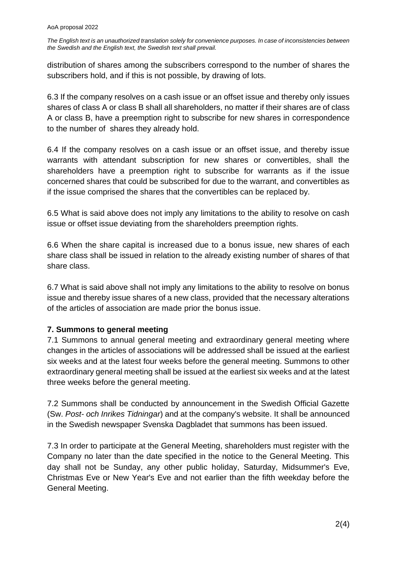distribution of shares among the subscribers correspond to the number of shares the subscribers hold, and if this is not possible, by drawing of lots.

6.3 If the company resolves on a cash issue or an offset issue and thereby only issues shares of class A or class B shall all shareholders, no matter if their shares are of class A or class B, have a preemption right to subscribe for new shares in correspondence to the number of shares they already hold.

6.4 If the company resolves on a cash issue or an offset issue, and thereby issue warrants with attendant subscription for new shares or convertibles, shall the shareholders have a preemption right to subscribe for warrants as if the issue concerned shares that could be subscribed for due to the warrant, and convertibles as if the issue comprised the shares that the convertibles can be replaced by.

6.5 What is said above does not imply any limitations to the ability to resolve on cash issue or offset issue deviating from the shareholders preemption rights.

6.6 When the share capital is increased due to a bonus issue, new shares of each share class shall be issued in relation to the already existing number of shares of that share class.

6.7 What is said above shall not imply any limitations to the ability to resolve on bonus issue and thereby issue shares of a new class, provided that the necessary alterations of the articles of association are made prior the bonus issue.

# **7. Summons to general meeting**

7.1 Summons to annual general meeting and extraordinary general meeting where changes in the articles of associations will be addressed shall be issued at the earliest six weeks and at the latest four weeks before the general meeting. Summons to other extraordinary general meeting shall be issued at the earliest six weeks and at the latest three weeks before the general meeting.

7.2 Summons shall be conducted by announcement in the Swedish Official Gazette (Sw. *Post- och Inrikes Tidningar*) and at the company's website. It shall be announced in the Swedish newspaper Svenska Dagbladet that summons has been issued.

7.3 In order to participate at the General Meeting, shareholders must register with the Company no later than the date specified in the notice to the General Meeting. This day shall not be Sunday, any other public holiday, Saturday, Midsummer's Eve, Christmas Eve or New Year's Eve and not earlier than the fifth weekday before the General Meeting.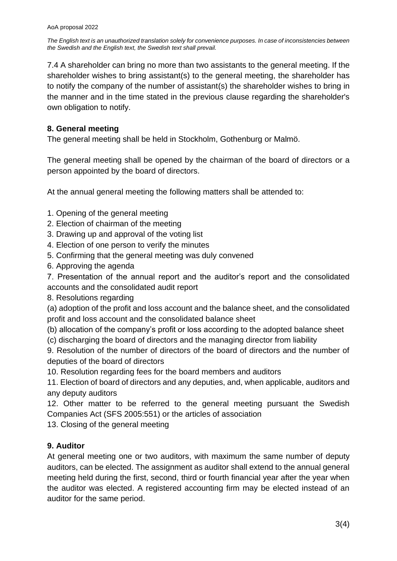7.4 A shareholder can bring no more than two assistants to the general meeting. If the shareholder wishes to bring assistant(s) to the general meeting, the shareholder has to notify the company of the number of assistant(s) the shareholder wishes to bring in the manner and in the time stated in the previous clause regarding the shareholder's own obligation to notify.

# **8. General meeting**

The general meeting shall be held in Stockholm, Gothenburg or Malmö.

The general meeting shall be opened by the chairman of the board of directors or a person appointed by the board of directors.

At the annual general meeting the following matters shall be attended to:

- 1. Opening of the general meeting
- 2. Election of chairman of the meeting
- 3. Drawing up and approval of the voting list
- 4. Election of one person to verify the minutes
- 5. Confirming that the general meeting was duly convened
- 6. Approving the agenda

7. Presentation of the annual report and the auditor's report and the consolidated accounts and the consolidated audit report

8. Resolutions regarding

(a) adoption of the profit and loss account and the balance sheet, and the consolidated profit and loss account and the consolidated balance sheet

(b) allocation of the company's profit or loss according to the adopted balance sheet

(c) discharging the board of directors and the managing director from liability

9. Resolution of the number of directors of the board of directors and the number of deputies of the board of directors

10. Resolution regarding fees for the board members and auditors

11. Election of board of directors and any deputies, and, when applicable, auditors and any deputy auditors

12. Other matter to be referred to the general meeting pursuant the Swedish Companies Act (SFS 2005:551) or the articles of association

13. Closing of the general meeting

# **9. Auditor**

At general meeting one or two auditors, with maximum the same number of deputy auditors, can be elected. The assignment as auditor shall extend to the annual general meeting held during the first, second, third or fourth financial year after the year when the auditor was elected. A registered accounting firm may be elected instead of an auditor for the same period.